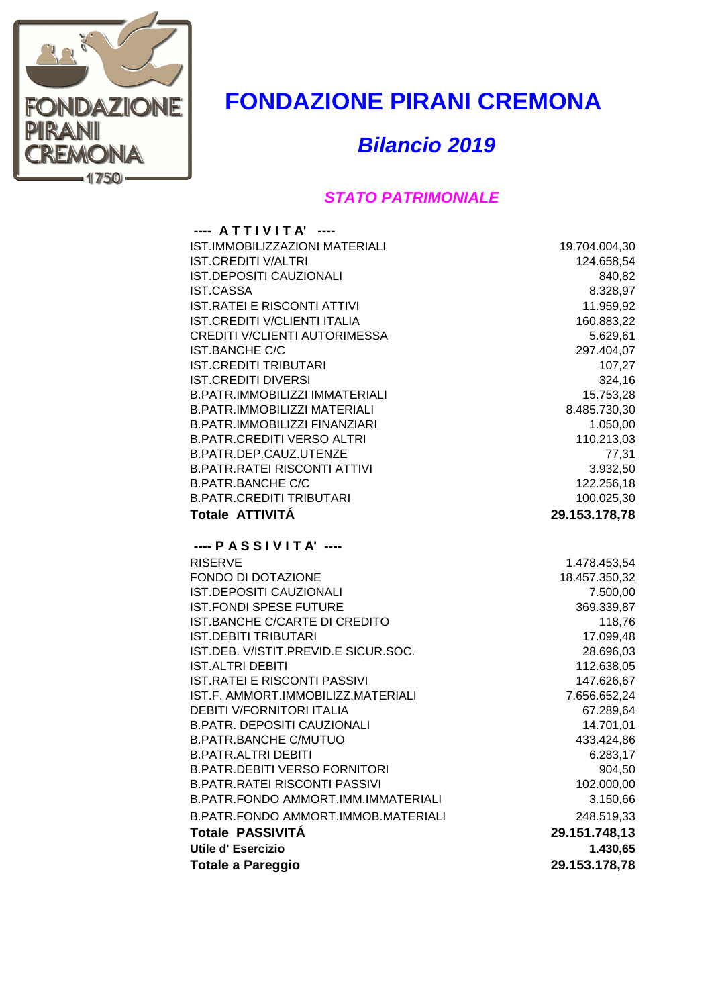

## **FONDAZIONE PIRANI CREMONA**

*Bilancio 2019*

## *STATO PATRIMONIALE*

| ---- ATTIVITA' ----                                            |                      |
|----------------------------------------------------------------|----------------------|
| IST.IMMOBILIZZAZIONI MATERIALI                                 | 19.704.004,30        |
| <b>IST.CREDITI V/ALTRI</b>                                     | 124.658,54           |
| <b>IST.DEPOSITI CAUZIONALI</b>                                 | 840,82               |
| <b>IST.CASSA</b>                                               | 8.328,97             |
| <b>IST.RATEI E RISCONTI ATTIVI</b>                             | 11.959,92            |
| IST.CREDITI V/CLIENTI ITALIA                                   | 160.883,22           |
| CREDITI V/CLIENTI AUTORIMESSA                                  | 5.629,61             |
| <b>IST.BANCHE C/C</b>                                          | 297.404,07           |
| <b>IST.CREDITI TRIBUTARI</b>                                   | 107,27               |
| <b>IST.CREDITI DIVERSI</b>                                     | 324,16               |
| B.PATR.IMMOBILIZZI IMMATERIALI                                 | 15.753,28            |
| <b>B.PATR.IMMOBILIZZI MATERIALI</b>                            | 8.485.730,30         |
| <b>B.PATR.IMMOBILIZZI FINANZIARI</b>                           | 1.050,00             |
| <b>B.PATR.CREDITI VERSO ALTRI</b>                              | 110.213,03           |
| B.PATR.DEP.CAUZ.UTENZE                                         | 77,31                |
| <b>B.PATR.RATEI RISCONTI ATTIVI</b>                            | 3.932,50             |
| <b>B.PATR.BANCHE C/C</b>                                       | 122.256,18           |
| <b>B.PATR.CREDITI TRIBUTARI</b>                                | 100.025,30           |
| Totale ATTIVITÁ                                                | 29.153.178,78        |
|                                                                |                      |
| $---$ PASSIVITA' $---$                                         |                      |
| <b>RISERVE</b><br><b>FONDO DI DOTAZIONE</b>                    | 1.478.453,54         |
| IST.DEPOSITI CAUZIONALI                                        | 18.457.350,32        |
|                                                                | 7.500,00             |
| <b>IST.FONDI SPESE FUTURE</b><br>IST.BANCHE C/CARTE DI CREDITO | 369.339,87<br>118,76 |
| <b>IST.DEBITI TRIBUTARI</b>                                    | 17.099,48            |
| IST.DEB. V/ISTIT.PREVID.E SICUR.SOC.                           | 28.696,03            |
| <b>IST.ALTRI DEBITI</b>                                        | 112.638,05           |
| <b>IST.RATEI E RISCONTI PASSIVI</b>                            | 147.626,67           |
| IST.F. AMMORT.IMMOBILIZZ.MATERIALI                             | 7.656.652,24         |
| <b>DEBITI V/FORNITORI ITALIA</b>                               | 67.289,64            |
| <b>B.PATR. DEPOSITI CAUZIONALI</b>                             | 14.701,01            |
| <b>B.PATR.BANCHE C/MUTUO</b>                                   | 433.424,86           |
| <b>B.PATR.ALTRI DEBITI</b>                                     | 6.283,17             |
| <b>B.PATR.DEBITI VERSO FORNITORI</b>                           | 904,50               |
| <b>B.PATR.RATEI RISCONTI PASSIVI</b>                           | 102.000,00           |
| B.PATR.FONDO AMMORT.IMM.IMMATERIALI                            | 3.150,66             |
| B.PATR.FONDO AMMORT.IMMOB.MATERIALI                            | 248.519,33           |
| <b>Totale PASSIVITÁ</b>                                        | 29.151.748,13        |
| <b>Utile d'Esercizio</b>                                       | 1.430,65             |
| <b>Totale a Pareggio</b>                                       | 29.153.178,78        |
|                                                                |                      |